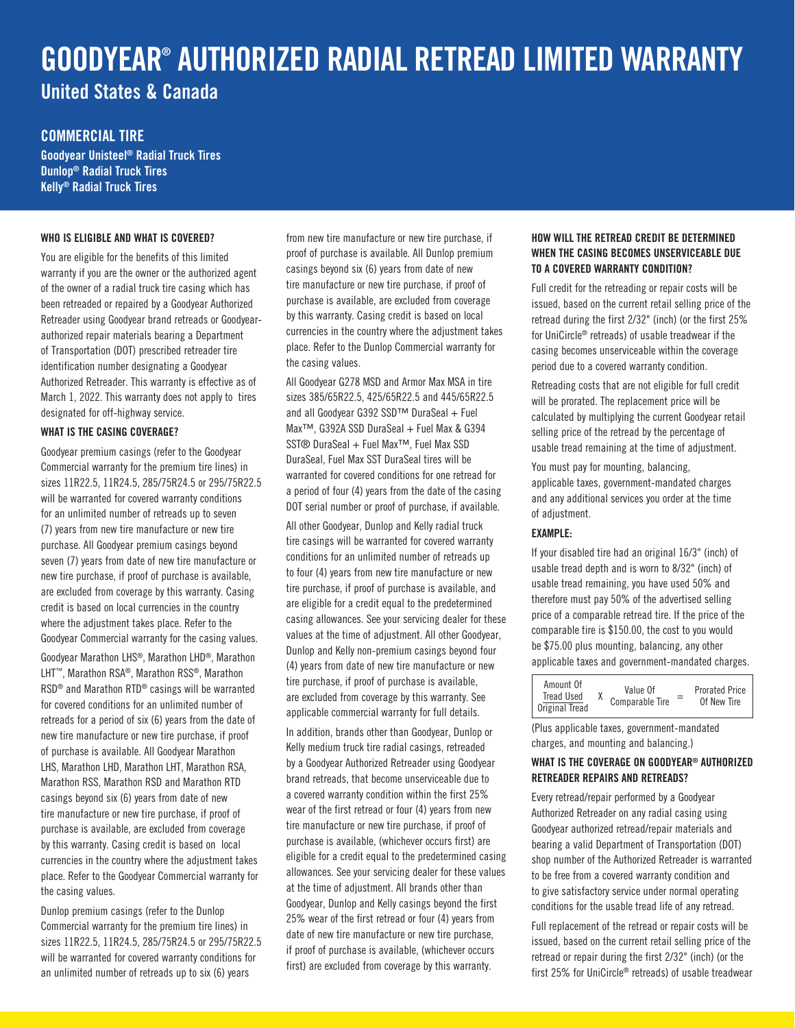# GOODYEAR® AUTHORIZED RADIAL RETREAD LIMITED WARRANTY United States & Canada

# COMMERCIAL TIRE

Goodyear Unisteel® Radial Truck Tires Dunlop® Radial Truck Tires Kelly® Radial Truck Tires

## WHO IS ELIGIBLE AND WHAT IS COVERED?

You are eligible for the benefits of this limited warranty if you are the owner or the authorized agent of the owner of a radial truck tire casing which has been retreaded or repaired by a Goodyear Authorized Retreader using Goodyear brand retreads or Goodyearauthorized repair materials bearing a Department of Transportation (DOT) prescribed retreader tire identification number designating a Goodyear Authorized Retreader. This warranty is effective as of March 1, 2022. This warranty does not apply to tires designated for off-highway service.

## WHAT IS THE CASING COVERAGE?

Goodyear premium casings (refer to the Goodyear Commercial warranty for the premium tire lines) in sizes 11R22.5, 11R24.5, 285/75R24.5 or 295/75R22.5 will be warranted for covered warranty conditions for an unlimited number of retreads up to seven (7) years from new tire manufacture or new tire purchase. All Goodyear premium casings beyond seven (7) years from date of new tire manufacture or new tire purchase, if proof of purchase is available, are excluded from coverage by this warranty. Casing credit is based on local currencies in the country where the adjustment takes place. Refer to the Goodyear Commercial warranty for the casing values.

Goodyear Marathon LHS®, Marathon LHD®, Marathon LHT™, Marathon RSA®, Marathon RSS®, Marathon RSD® and Marathon RTD® casings will be warranted for covered conditions for an unlimited number of retreads for a period of six (6) years from the date of new tire manufacture or new tire purchase, if proof of purchase is available. All Goodyear Marathon LHS, Marathon LHD, Marathon LHT, Marathon RSA, Marathon RSS, Marathon RSD and Marathon RTD casings beyond six (6) years from date of new tire manufacture or new tire purchase, if proof of purchase is available, are excluded from coverage by this warranty. Casing credit is based on local currencies in the country where the adjustment takes place. Refer to the Goodyear Commercial warranty for the casing values.

Dunlop premium casings (refer to the Dunlop Commercial warranty for the premium tire lines) in sizes 11R22.5, 11R24.5, 285/75R24.5 or 295/75R22.5 will be warranted for covered warranty conditions for an unlimited number of retreads up to six (6) years

from new tire manufacture or new tire purchase, if proof of purchase is available. All Dunlop premium casings beyond six (6) years from date of new tire manufacture or new tire purchase, if proof of purchase is available, are excluded from coverage by this warranty. Casing credit is based on local currencies in the country where the adjustment takes place. Refer to the Dunlop Commercial warranty for the casing values.

All Goodyear G278 MSD and Armor Max MSA in tire sizes 385/65R22.5, 425/65R22.5 and 445/65R22.5 and all Goodyear G392 SSD™ DuraSeal + Fuel Max™, G392A SSD DuraSeal + Fuel Max & G394 SST® DuraSeal + Fuel Max<sup>™</sup>, Fuel Max SSD DuraSeal, Fuel Max SST DuraSeal tires will be warranted for covered conditions for one retread for a period of four (4) years from the date of the casing DOT serial number or proof of purchase, if available. All other Goodyear, Dunlop and Kelly radial truck tire casings will be warranted for covered warranty conditions for an unlimited number of retreads up to four (4) years from new tire manufacture or new tire purchase, if proof of purchase is available, and are eligible for a credit equal to the predetermined casing allowances. See your servicing dealer for these values at the time of adjustment. All other Goodyear, Dunlop and Kelly non-premium casings beyond four (4) years from date of new tire manufacture or new tire purchase, if proof of purchase is available, are excluded from coverage by this warranty. See applicable commercial warranty for full details.

In addition, brands other than Goodyear, Dunlop or Kelly medium truck tire radial casings, retreaded by a Goodyear Authorized Retreader using Goodyear brand retreads, that become unserviceable due to a covered warranty condition within the first 25% wear of the first retread or four (4) years from new tire manufacture or new tire purchase, if proof of purchase is available, (whichever occurs first) are eligible for a credit equal to the predetermined casing allowances. See your servicing dealer for these values at the time of adjustment. All brands other than Goodyear, Dunlop and Kelly casings beyond the first 25% wear of the first retread or four (4) years from date of new tire manufacture or new tire purchase, if proof of purchase is available, (whichever occurs first) are excluded from coverage by this warranty.

# HOW WILL THE RETREAD CREDIT BE DETERMINED WHEN THE CASING BECOMES UNSERVICEABLE DUE TO A COVERED WARRANTY CONDITION?

Full credit for the retreading or repair costs will be issued, based on the current retail selling price of the retread during the first 2/32" (inch) (or the first 25% for UniCircle® retreads) of usable treadwear if the casing becomes unserviceable within the coverage period due to a covered warranty condition.

Retreading costs that are not eligible for full credit will be prorated. The replacement price will be calculated by multiplying the current Goodyear retail selling price of the retread by the percentage of usable tread remaining at the time of adjustment.

You must pay for mounting, balancing, applicable taxes, government-mandated charges and any additional services you order at the time of adjustment.

# EXAMPLE:

If your disabled tire had an original 16/3" (inch) of usable tread depth and is worn to 8/32" (inch) of usable tread remaining, you have used 50% and therefore must pay 50% of the advertised selling price of a comparable retread tire. If the price of the comparable tire is \$150.00, the cost to you would be \$75.00 plus mounting, balancing, any other applicable taxes and government-mandated charges.

| Amount Of<br><b>Tread Used</b><br>Original Tread |  | Value Of<br>Comparable Tire | $=$ | <b>Prorated Price</b><br>Of New Tire |
|--------------------------------------------------|--|-----------------------------|-----|--------------------------------------|
|--------------------------------------------------|--|-----------------------------|-----|--------------------------------------|

(Plus applicable taxes, government-mandated charges, and mounting and balancing.)

## WHAT IS THE COVERAGE ON GOODYEAR® AUTHORIZED RETREADER REPAIRS AND RETREADS?

Every retread/repair performed by a Goodyear Authorized Retreader on any radial casing using Goodyear authorized retread/repair materials and bearing a valid Department of Transportation (DOT) shop number of the Authorized Retreader is warranted to be free from a covered warranty condition and to give satisfactory service under normal operating conditions for the usable tread life of any retread.

Full replacement of the retread or repair costs will be issued, based on the current retail selling price of the retread or repair during the first 2/32" (inch) (or the first 25% for UniCircle® retreads) of usable treadwear